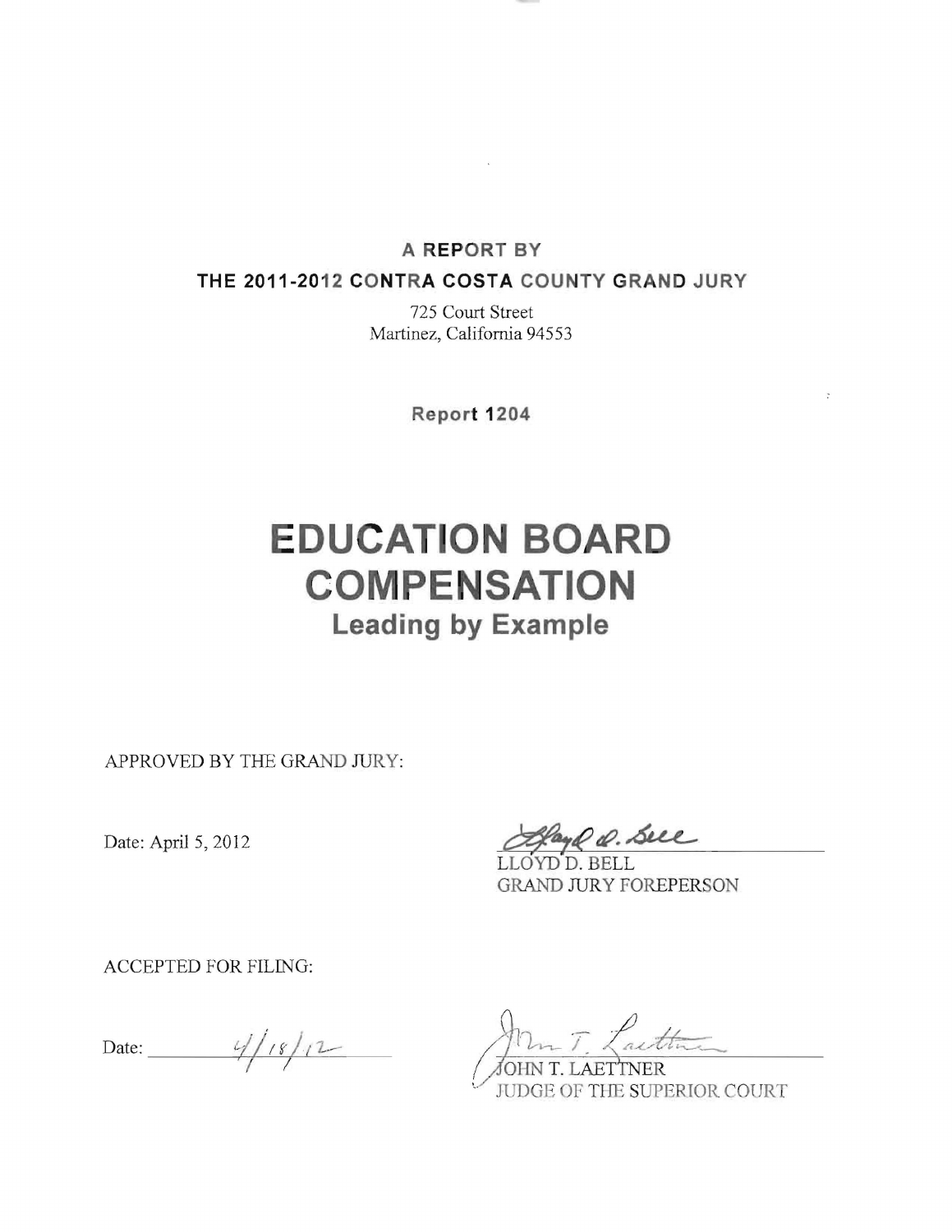### **A REPORT BY**

 $\sim$ 

#### **THE 2011-2012 CONTRA COSTA COUNTY GRAND JURY**

725 Court Street Martinez, California 94553

**Report 1204** 

# **EDUCATION BOARD COMPENSATION Leading by Example**

APPROVED BY THE GRAND JURY:

Date: April 5, 2012

and Q. Sell

LLOYD D. BELL **GRAND JURY FOREPERSON** 

ACCEPTED FOR FILING:

Date:  $\frac{4}{18/12}$ 

OHN T. LAETTNER JUDGE OF THE SUPERIOR COURT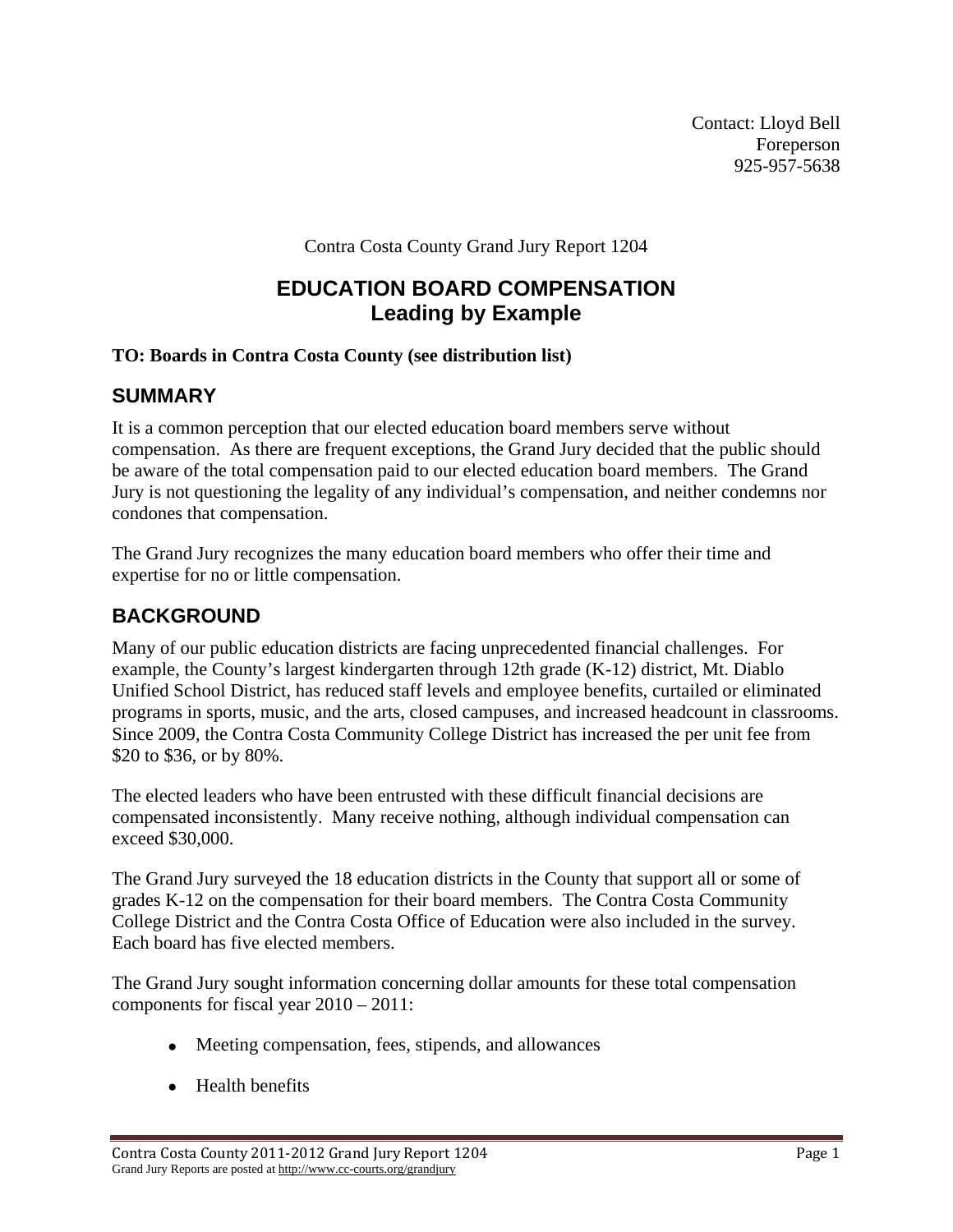Contact: Lloyd Bell Foreperson 925-957-5638

Contra Costa County Grand Jury Report 1204

# **EDUCATION BOARD COMPENSATION Leading by Example**

## **TO: Boards in Contra Costa County (see distribution list)**

## **SUMMARY**

It is a common perception that our elected education board members serve without compensation. As there are frequent exceptions, the Grand Jury decided that the public should be aware of the total compensation paid to our elected education board members. The Grand Jury is not questioning the legality of any individual's compensation, and neither condemns nor condones that compensation.

The Grand Jury recognizes the many education board members who offer their time and expertise for no or little compensation.

## **BACKGROUND**

Many of our public education districts are facing unprecedented financial challenges. For example, the County's largest kindergarten through 12th grade (K-12) district, Mt. Diablo Unified School District, has reduced staff levels and employee benefits, curtailed or eliminated programs in sports, music, and the arts, closed campuses, and increased headcount in classrooms. Since 2009, the Contra Costa Community College District has increased the per unit fee from \$20 to \$36, or by 80%.

The elected leaders who have been entrusted with these difficult financial decisions are compensated inconsistently. Many receive nothing, although individual compensation can exceed \$30,000.

The Grand Jury surveyed the 18 education districts in the County that support all or some of grades K-12 on the compensation for their board members. The Contra Costa Community College District and the Contra Costa Office of Education were also included in the survey. Each board has five elected members.

The Grand Jury sought information concerning dollar amounts for these total compensation components for fiscal year 2010 – 2011:

- Meeting compensation, fees, stipends, and allowances
- Health benefits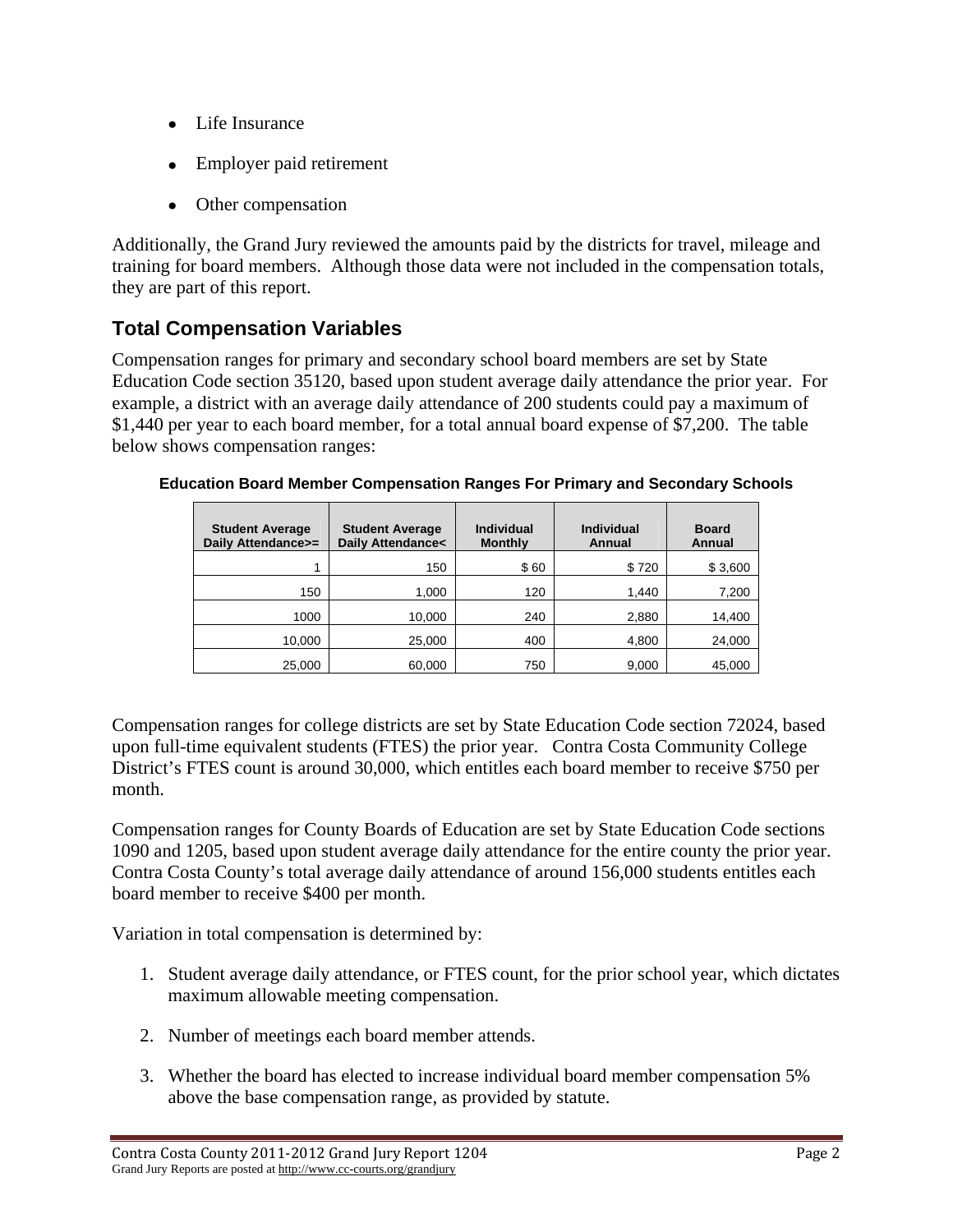- Life Insurance
- Employer paid retirement
- Other compensation

Additionally, the Grand Jury reviewed the amounts paid by the districts for travel, mileage and training for board members. Although those data were not included in the compensation totals, they are part of this report.

# **Total Compensation Variables**

Compensation ranges for primary and secondary school board members are set by State Education Code section 35120, based upon student average daily attendance the prior year. For example, a district with an average daily attendance of 200 students could pay a maximum of \$1,440 per year to each board member, for a total annual board expense of \$7,200. The table below shows compensation ranges:

| <b>Student Average</b><br>Daily Attendance>= | <b>Student Average</b><br><b>Daily Attendance&lt;</b> | <b>Individual</b><br><b>Monthly</b> | <b>Individual</b><br>Annual | <b>Board</b><br>Annual |
|----------------------------------------------|-------------------------------------------------------|-------------------------------------|-----------------------------|------------------------|
|                                              | 150                                                   | \$60                                | \$720                       | \$3,600                |
| 150                                          | 1,000                                                 | 120                                 | 1,440                       | 7,200                  |
| 1000                                         | 10,000                                                | 240                                 | 2,880                       | 14,400                 |
| 10,000                                       | 25,000                                                | 400                                 | 4,800                       | 24,000                 |
| 25,000                                       | 60,000                                                | 750                                 | 9,000                       | 45,000                 |

**Education Board Member Compensation Ranges For Primary and Secondary Schools** 

Compensation ranges for college districts are set by State Education Code section 72024, based upon full-time equivalent students (FTES) the prior year. Contra Costa Community College District's FTES count is around 30,000, which entitles each board member to receive \$750 per month.

Compensation ranges for County Boards of Education are set by State Education Code sections 1090 and 1205, based upon student average daily attendance for the entire county the prior year. Contra Costa County's total average daily attendance of around 156,000 students entitles each board member to receive \$400 per month.

Variation in total compensation is determined by:

- 1. Student average daily attendance, or FTES count, for the prior school year, which dictates maximum allowable meeting compensation.
- 2. Number of meetings each board member attends.
- 3. Whether the board has elected to increase individual board member compensation 5% above the base compensation range, as provided by statute.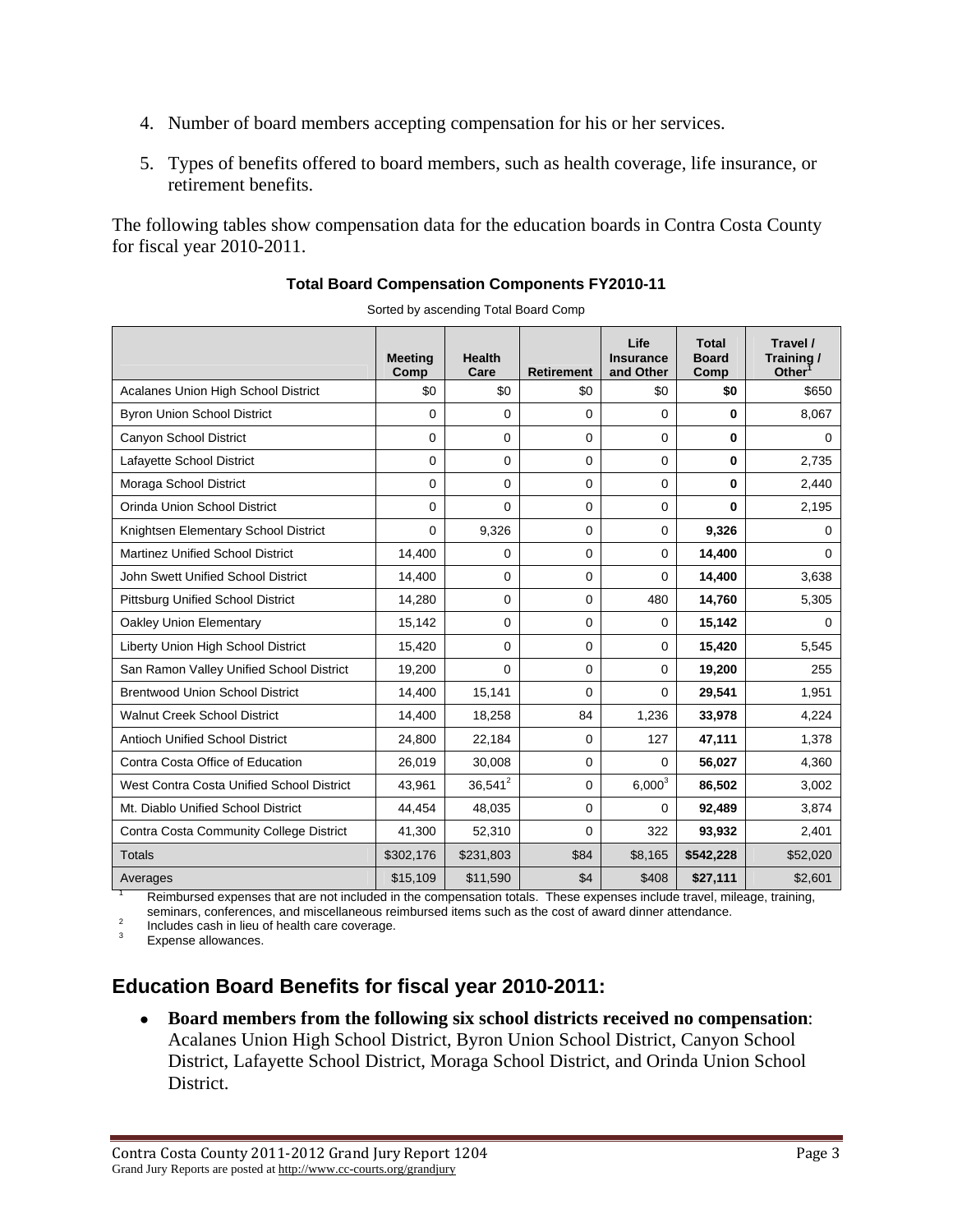- 4. Number of board members accepting compensation for his or her services.
- 5. Types of benefits offered to board members, such as health coverage, life insurance, or retirement benefits.

The following tables show compensation data for the education boards in Contra Costa County for fiscal year 2010-2011.

|                                           | <b>Meeting</b><br>Comp | <b>Health</b><br>Care | <b>Retirement</b>   | Life<br><b>Insurance</b><br>and Other | <b>Total</b><br><b>Board</b><br>Comp | Travel /<br>Training/<br>Other |
|-------------------------------------------|------------------------|-----------------------|---------------------|---------------------------------------|--------------------------------------|--------------------------------|
| Acalanes Union High School District       | \$0                    | \$0                   | \$0                 | \$0                                   | \$0                                  | \$650                          |
| <b>Byron Union School District</b>        | $\Omega$               | 0                     | $\Omega$            | 0                                     | 0                                    | 8,067                          |
| Canyon School District                    | $\Omega$               | 0                     | $\Omega$            | 0                                     | 0                                    | 0                              |
| Lafayette School District                 | $\mathbf 0$            | 0                     | 0                   | 0                                     | 0                                    | 2,735                          |
| Moraga School District                    | $\Omega$               | 0                     | $\Omega$            | 0                                     | 0                                    | 2,440                          |
| Orinda Union School District              | $\Omega$               | 0                     | 0                   | 0                                     | 0                                    | 2,195                          |
| Knightsen Elementary School District      | $\Omega$               | 9,326                 | $\Omega$            | 0                                     | 9,326                                | 0                              |
| <b>Martinez Unified School District</b>   | 14,400                 | 0                     | 0                   | 0                                     | 14,400                               | 0                              |
| John Swett Unified School District        | 14,400                 | 0                     | $\Omega$            | 0                                     | 14,400                               | 3,638                          |
| <b>Pittsburg Unified School District</b>  | 14,280                 | 0                     | 0                   | 480                                   | 14,760                               | 5,305                          |
| Oakley Union Elementary                   | 15,142                 | 0                     | $\Omega$            | 0                                     | 15,142                               | 0                              |
| Liberty Union High School District        | 15,420                 | 0                     | $\Omega$            | 0                                     | 15,420                               | 5,545                          |
| San Ramon Valley Unified School District  | 19,200                 | 0                     | $\Omega$            | 0                                     | 19,200                               | 255                            |
| <b>Brentwood Union School District</b>    | 14.400                 | 15,141                | $\Omega$            | 0                                     | 29.541                               | 1,951                          |
| <b>Walnut Creek School District</b>       | 14,400                 | 18,258                | 84                  | 1,236                                 | 33,978                               | 4,224                          |
| <b>Antioch Unified School District</b>    | 24,800                 | 22,184                | $\mathbf 0$         | 127                                   | 47,111                               | 1,378                          |
| Contra Costa Office of Education          | 26,019                 | 30,008                | $\Omega$            | 0                                     | 56,027                               | 4,360                          |
| West Contra Costa Unified School District | 43,961                 | $36,541^2$            | 0                   | $6,000^{3}$                           | 86,502                               | 3,002                          |
| Mt. Diablo Unified School District        | 44,454                 | 48,035                | 0                   | 0                                     | 92,489                               | 3,874                          |
| Contra Costa Community College District   | 41,300                 | 52,310                | $\mathbf{0}$        | 322                                   | 93.932                               | 2,401                          |
| <b>Totals</b>                             | \$302,176              | \$231,803             | \$84                | \$8,165                               | \$542,228                            | \$52,020                       |
| Averages<br>$\blacksquare$                | \$15,109               | \$11,590              | \$4<br>$\mathbf{r}$ | \$408                                 | \$27,111                             | \$2,601                        |

#### **Total Board Compensation Components FY2010-11**

Sorted by ascending Total Board Comp

 Reimbursed expenses that are not included in the compensation totals. These expenses include travel, mileage, training, seminars, conferences, and miscellaneous reimbursed items such as the cost of award dinner attendance.

 Includes cash in lieu of health care coverage. 3

Expense allowances.

## **Education Board Benefits for fiscal year 2010-2011:**

 **Board members from the following six school districts received no compensation**: Acalanes Union High School District, Byron Union School District, Canyon School District, Lafayette School District, Moraga School District, and Orinda Union School District.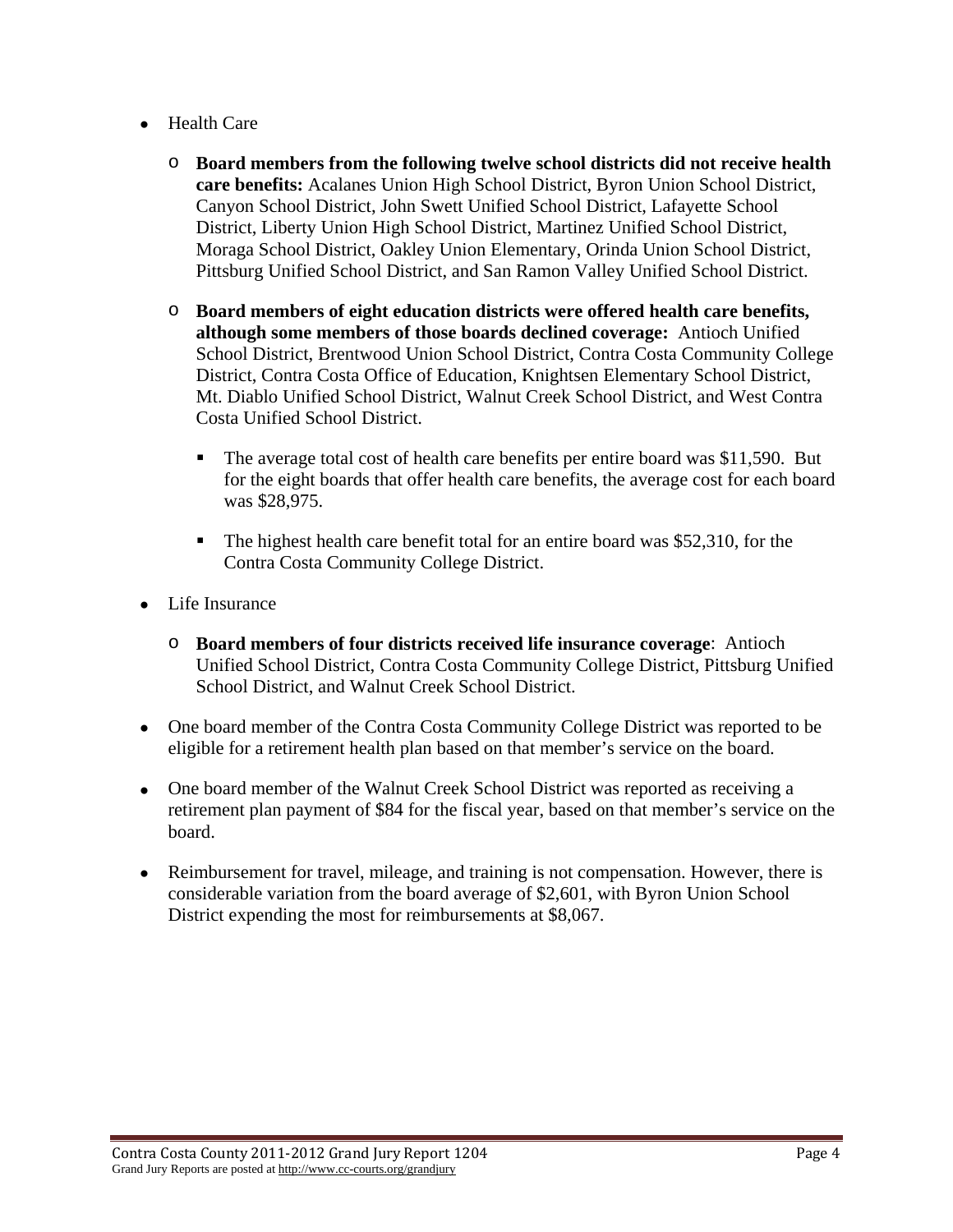- Health Care
	- o **Board members from the following twelve school districts did not receive health care benefits:** Acalanes Union High School District, Byron Union School District, Canyon School District, John Swett Unified School District, Lafayette School District, Liberty Union High School District, Martinez Unified School District, Moraga School District, Oakley Union Elementary, Orinda Union School District, Pittsburg Unified School District, and San Ramon Valley Unified School District.
	- o **Board members of eight education districts were offered health care benefits, although some members of those boards declined coverage:** Antioch Unified School District, Brentwood Union School District, Contra Costa Community College District, Contra Costa Office of Education, Knightsen Elementary School District, Mt. Diablo Unified School District, Walnut Creek School District, and West Contra Costa Unified School District.
		- The average total cost of health care benefits per entire board was \$11,590. But for the eight boards that offer health care benefits, the average cost for each board was \$28,975.
		- The highest health care benefit total for an entire board was \$52,310, for the Contra Costa Community College District.
- Life Insurance
	- o **Board members of four districts received life insurance coverage**: Antioch Unified School District, Contra Costa Community College District, Pittsburg Unified School District, and Walnut Creek School District.
- One board member of the Contra Costa Community College District was reported to be eligible for a retirement health plan based on that member's service on the board.
- One board member of the Walnut Creek School District was reported as receiving a retirement plan payment of \$84 for the fiscal year, based on that member's service on the board.
- Reimbursement for travel, mileage, and training is not compensation. However, there is considerable variation from the board average of \$2,601, with Byron Union School District expending the most for reimbursements at \$8,067.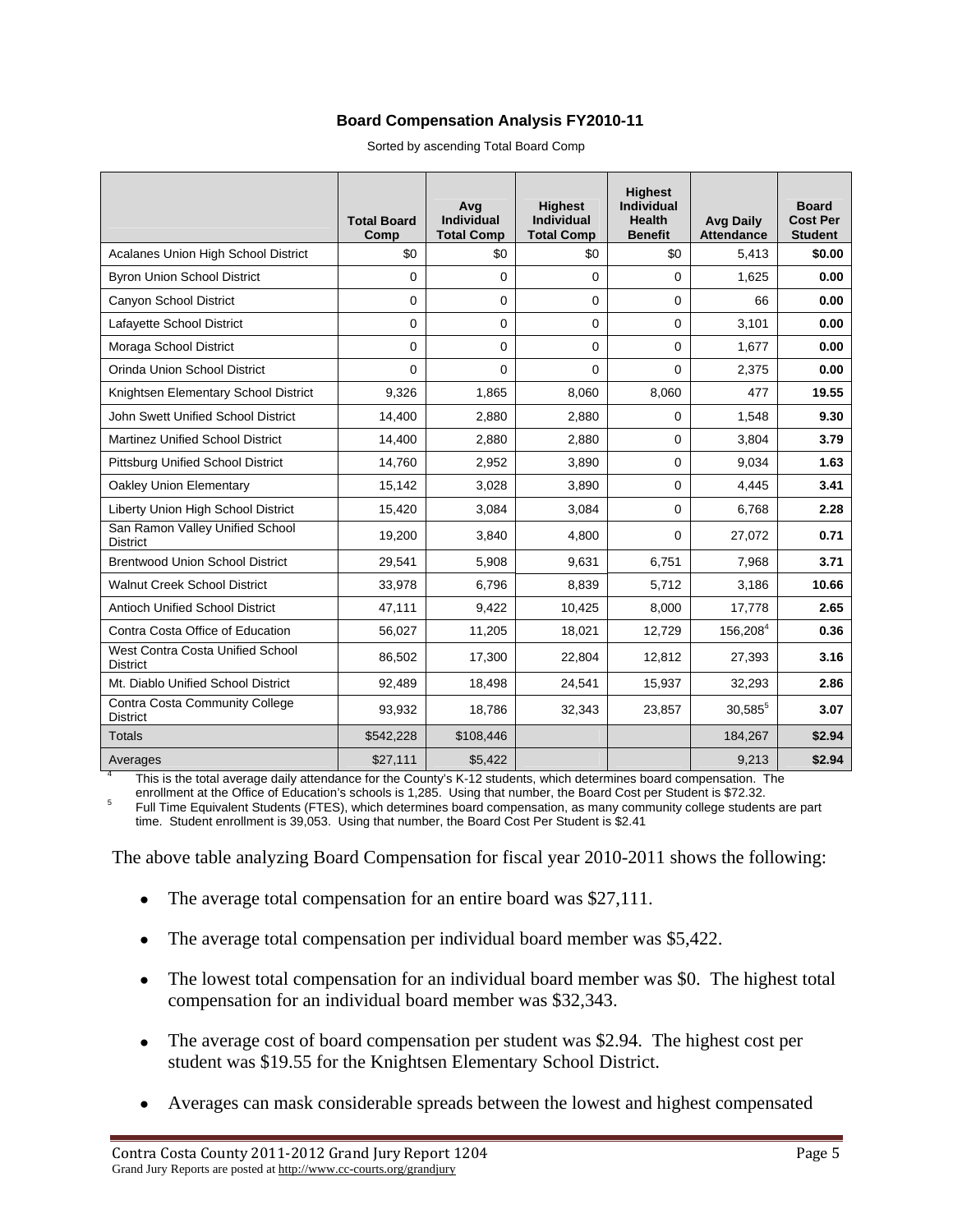#### **Board Compensation Analysis FY2010-11**

Sorted by ascending Total Board Comp

|                                                     | <b>Total Board</b><br>Comp | Avg<br><b>Individual</b><br><b>Total Comp</b> | <b>Highest</b><br><b>Individual</b><br><b>Total Comp</b> | <b>Highest</b><br><b>Individual</b><br><b>Health</b><br><b>Benefit</b> | <b>Avg Daily</b><br><b>Attendance</b> | <b>Board</b><br><b>Cost Per</b><br><b>Student</b> |
|-----------------------------------------------------|----------------------------|-----------------------------------------------|----------------------------------------------------------|------------------------------------------------------------------------|---------------------------------------|---------------------------------------------------|
| Acalanes Union High School District                 | \$0                        | \$0                                           | \$0                                                      | \$0                                                                    | 5,413                                 | \$0.00                                            |
| <b>Byron Union School District</b>                  | $\Omega$                   | 0                                             | $\Omega$                                                 | $\Omega$                                                               | 1,625                                 | 0.00                                              |
| Canyon School District                              | 0                          | $\mathbf 0$                                   | $\mathbf 0$                                              | 0                                                                      | 66                                    | 0.00                                              |
| Lafayette School District                           | $\Omega$                   | 0                                             | $\Omega$                                                 | $\Omega$                                                               | 3,101                                 | 0.00                                              |
| Moraga School District                              | $\Omega$                   | $\Omega$                                      | $\Omega$                                                 | $\Omega$                                                               | 1,677                                 | 0.00                                              |
| Orinda Union School District                        | $\overline{0}$             | $\Omega$                                      | $\Omega$                                                 | $\Omega$                                                               | 2,375                                 | 0.00                                              |
| Knightsen Elementary School District                | 9,326                      | 1,865                                         | 8,060                                                    | 8,060                                                                  | 477                                   | 19.55                                             |
| John Swett Unified School District                  | 14,400                     | 2,880                                         | 2,880                                                    | 0                                                                      | 1,548                                 | 9.30                                              |
| <b>Martinez Unified School District</b>             | 14,400                     | 2,880                                         | 2,880                                                    | 0                                                                      | 3,804                                 | 3.79                                              |
| <b>Pittsburg Unified School District</b>            | 14,760                     | 2,952                                         | 3,890                                                    | 0                                                                      | 9,034                                 | 1.63                                              |
| <b>Oakley Union Elementary</b>                      | 15,142                     | 3,028                                         | 3.890                                                    | $\Omega$                                                               | 4,445                                 | 3.41                                              |
| Liberty Union High School District                  | 15,420                     | 3,084                                         | 3,084                                                    | 0                                                                      | 6,768                                 | 2.28                                              |
| San Ramon Valley Unified School<br><b>District</b>  | 19,200                     | 3,840                                         | 4,800                                                    | $\Omega$                                                               | 27,072                                | 0.71                                              |
| <b>Brentwood Union School District</b>              | 29,541                     | 5,908                                         | 9,631                                                    | 6,751                                                                  | 7,968                                 | 3.71                                              |
| <b>Walnut Creek School District</b>                 | 33,978                     | 6,796                                         | 8,839                                                    | 5,712                                                                  | 3,186                                 | 10.66                                             |
| <b>Antioch Unified School District</b>              | 47,111                     | 9,422                                         | 10,425                                                   | 8,000                                                                  | 17,778                                | 2.65                                              |
| Contra Costa Office of Education                    | 56,027                     | 11,205                                        | 18,021                                                   | 12,729                                                                 | 156,2084                              | 0.36                                              |
| West Contra Costa Unified School<br><b>District</b> | 86,502                     | 17,300                                        | 22,804                                                   | 12,812                                                                 | 27,393                                | 3.16                                              |
| Mt. Diablo Unified School District                  | 92,489                     | 18,498                                        | 24,541                                                   | 15,937                                                                 | 32,293                                | 2.86                                              |
| Contra Costa Community College<br><b>District</b>   | 93,932                     | 18,786                                        | 32,343                                                   | 23,857                                                                 | 30,585                                | 3.07                                              |
| <b>Totals</b>                                       | \$542,228                  | \$108,446                                     |                                                          |                                                                        | 184,267                               | \$2.94                                            |
| Averages                                            | \$27,111                   | \$5,422                                       |                                                          |                                                                        | 9,213                                 | \$2.94                                            |

 This is the total average daily attendance for the County's K-12 students, which determines board compensation. The enrollment at the Office of Education's schools is 1,285. Using that number, the Board Cost per Student is \$72.32.

 Full Time Equivalent Students (FTES), which determines board compensation, as many community college students are part time. Student enrollment is 39,053. Using that number, the Board Cost Per Student is \$2.41

The above table analyzing Board Compensation for fiscal year 2010-2011 shows the following:

- The average total compensation for an entire board was \$27,111.
- The average total compensation per individual board member was \$5,422.
- The lowest total compensation for an individual board member was \$0. The highest total compensation for an individual board member was \$32,343.
- The average cost of board compensation per student was \$2.94. The highest cost per student was \$19.55 for the Knightsen Elementary School District.
- Averages can mask considerable spreads between the lowest and highest compensated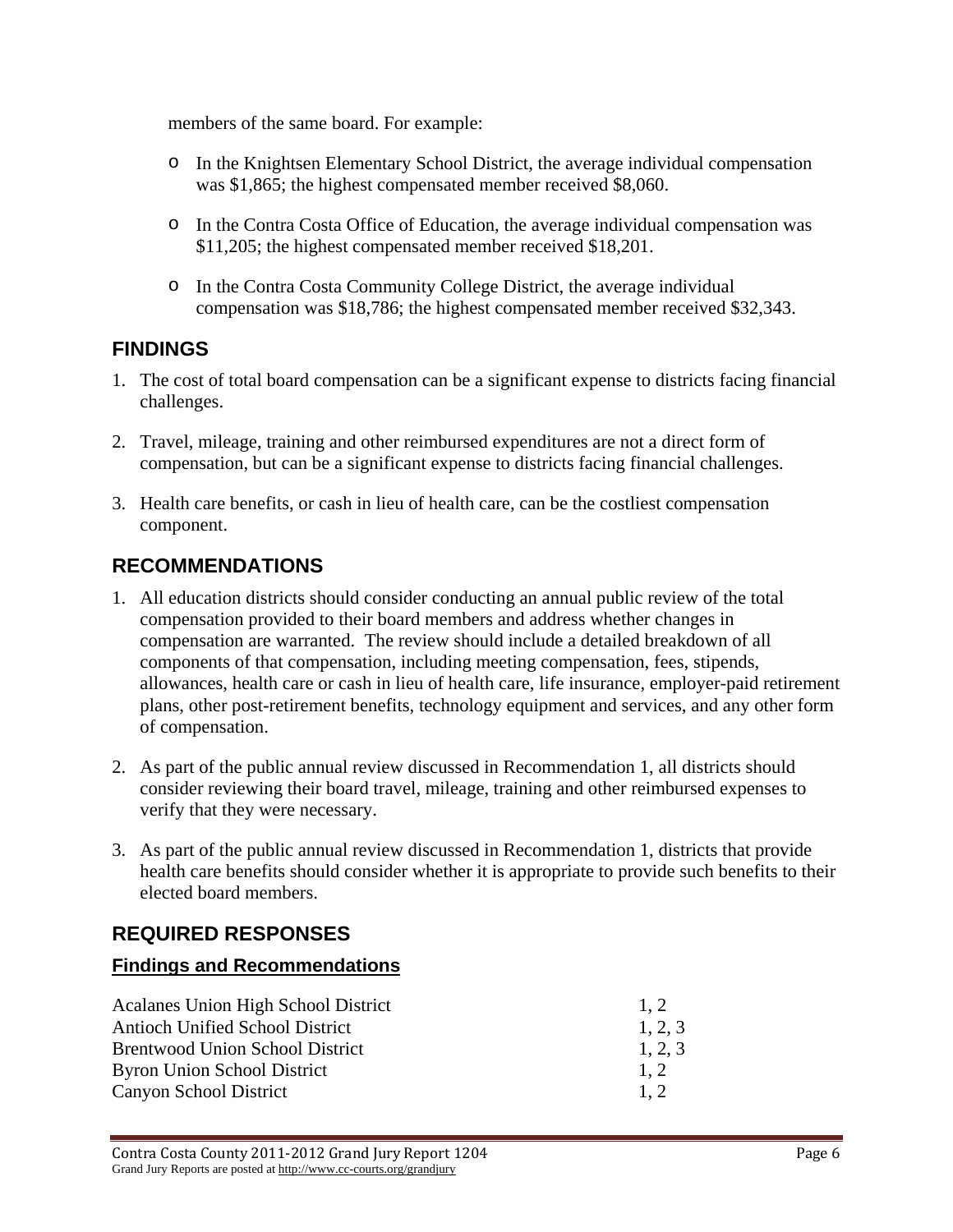members of the same board. For example:

- o In the Knightsen Elementary School District, the average individual compensation was \$1,865; the highest compensated member received \$8,060.
- o In the Contra Costa Office of Education, the average individual compensation was \$11,205; the highest compensated member received \$18,201.
- o In the Contra Costa Community College District, the average individual compensation was \$18,786; the highest compensated member received \$32,343.

## **FINDINGS**

- 1. The cost of total board compensation can be a significant expense to districts facing financial challenges.
- 2. Travel, mileage, training and other reimbursed expenditures are not a direct form of compensation, but can be a significant expense to districts facing financial challenges.
- 3. Health care benefits, or cash in lieu of health care, can be the costliest compensation component.

## **RECOMMENDATIONS**

- 1. All education districts should consider conducting an annual public review of the total compensation provided to their board members and address whether changes in compensation are warranted. The review should include a detailed breakdown of all components of that compensation, including meeting compensation, fees, stipends, allowances, health care or cash in lieu of health care, life insurance, employer-paid retirement plans, other post-retirement benefits, technology equipment and services, and any other form of compensation.
- 2. As part of the public annual review discussed in Recommendation 1, all districts should consider reviewing their board travel, mileage, training and other reimbursed expenses to verify that they were necessary.
- 3. As part of the public annual review discussed in Recommendation 1, districts that provide health care benefits should consider whether it is appropriate to provide such benefits to their elected board members.

# **REQUIRED RESPONSES**

## **Findings and Recommendations**

| <b>Acalanes Union High School District</b> | 1.2     |
|--------------------------------------------|---------|
| <b>Antioch Unified School District</b>     | 1, 2, 3 |
| <b>Brentwood Union School District</b>     | 1, 2, 3 |
| <b>Byron Union School District</b>         | 1.2     |
| Canyon School District                     | 1.2     |
|                                            |         |